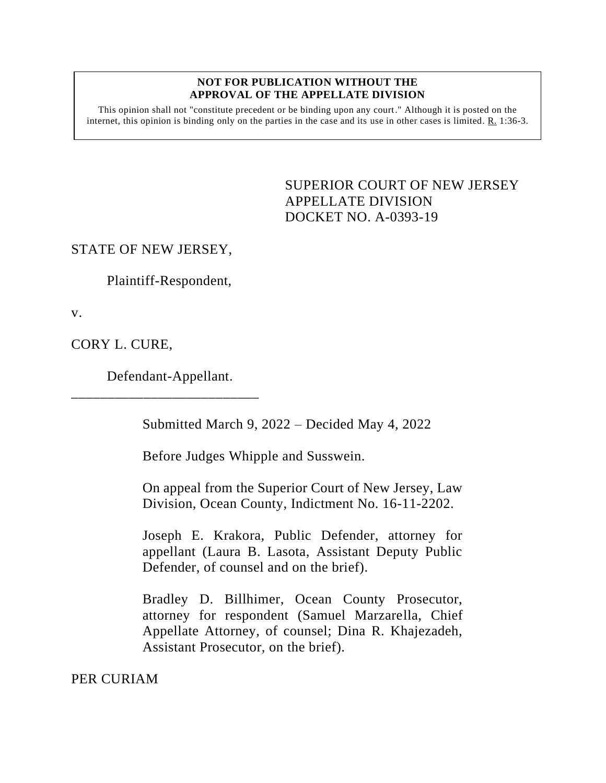#### **NOT FOR PUBLICATION WITHOUT THE APPROVAL OF THE APPELLATE DIVISION**

This opinion shall not "constitute precedent or be binding upon any court." Although it is posted on the internet, this opinion is binding only on the parties in the case and its use in other cases is limited. R. 1:36-3.

> <span id="page-0-0"></span>SUPERIOR COURT OF NEW JERSEY APPELLATE DIVISION DOCKET NO. A-0393-19

STATE OF NEW JERSEY,

Plaintiff-Respondent,

v.

CORY L. CURE,

Defendant-Appellant.

\_\_\_\_\_\_\_\_\_\_\_\_\_\_\_\_\_\_\_\_\_\_\_\_\_\_

Submitted March 9, 2022 – Decided May 4, 2022

Before Judges Whipple and Susswein.

On appeal from the Superior Court of New Jersey, Law Division, Ocean County, Indictment No. 16-11-2202.

Joseph E. Krakora, Public Defender, attorney for appellant (Laura B. Lasota, Assistant Deputy Public Defender, of counsel and on the brief).

Bradley D. Billhimer, Ocean County Prosecutor, attorney for respondent (Samuel Marzarella, Chief Appellate Attorney, of counsel; Dina R. Khajezadeh, Assistant Prosecutor, on the brief).

PER CURIAM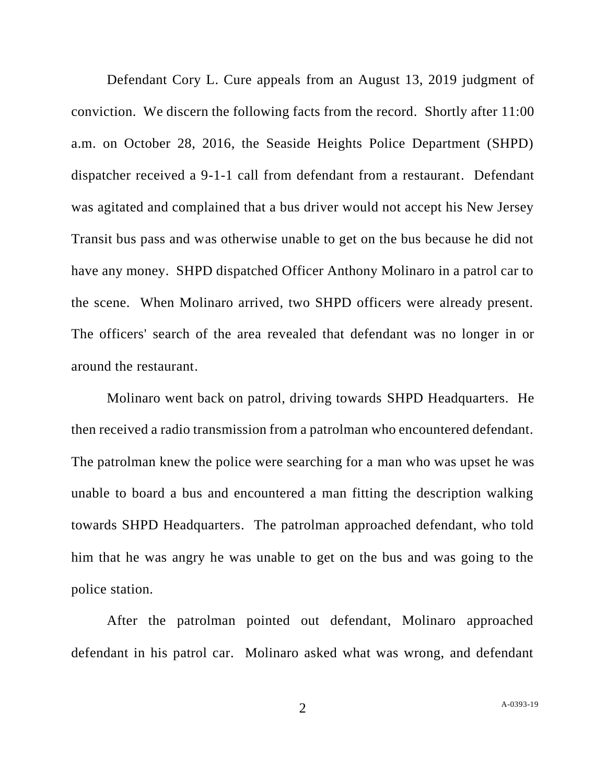Defendant Cory L. Cure appeals from an August 13, 2019 judgment of conviction. We discern the following facts from the record. Shortly after 11:00 a.m. on October 28, 2016, the Seaside Heights Police Department (SHPD) dispatcher received a 9-1-1 call from defendant from a restaurant. Defendant was agitated and complained that a bus driver would not accept his New Jersey Transit bus pass and was otherwise unable to get on the bus because he did not have any money. SHPD dispatched Officer Anthony Molinaro in a patrol car to the scene. When Molinaro arrived, two SHPD officers were already present. The officers' search of the area revealed that defendant was no longer in or around the restaurant.

Molinaro went back on patrol, driving towards SHPD Headquarters. He then received a radio transmission from a patrolman who encountered defendant. The patrolman knew the police were searching for a man who was upset he was unable to board a bus and encountered a man fitting the description walking towards SHPD Headquarters. The patrolman approached defendant, who told him that he was angry he was unable to get on the bus and was going to the police station.

After the patrolman pointed out defendant, Molinaro approached defendant in his patrol car. Molinaro asked what was wrong, and defendant

2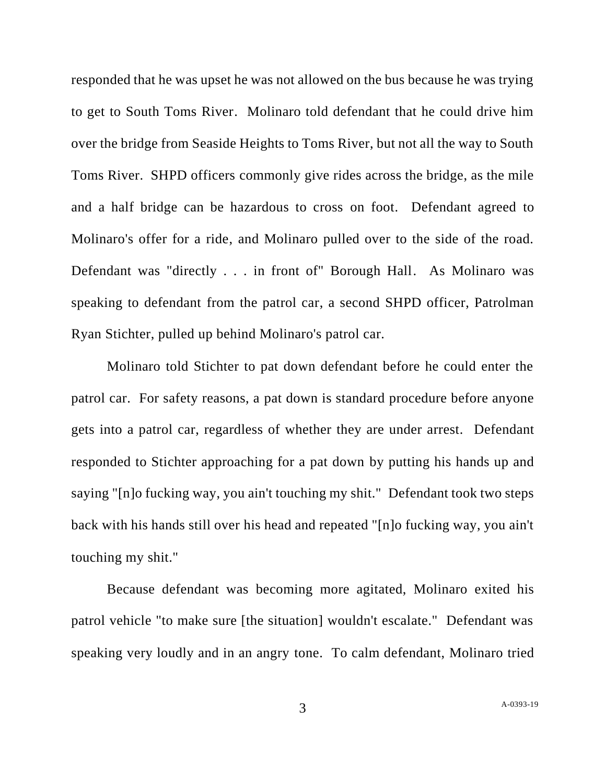responded that he was upset he was not allowed on the bus because he was trying to get to South Toms River. Molinaro told defendant that he could drive him over the bridge from Seaside Heights to Toms River, but not all the way to South Toms River. SHPD officers commonly give rides across the bridge, as the mile and a half bridge can be hazardous to cross on foot. Defendant agreed to Molinaro's offer for a ride, and Molinaro pulled over to the side of the road. Defendant was "directly . . . in front of" Borough Hall. As Molinaro was speaking to defendant from the patrol car, a second SHPD officer, Patrolman Ryan Stichter, pulled up behind Molinaro's patrol car.

Molinaro told Stichter to pat down defendant before he could enter the patrol car. For safety reasons, a pat down is standard procedure before anyone gets into a patrol car, regardless of whether they are under arrest. Defendant responded to Stichter approaching for a pat down by putting his hands up and saying "[n]o fucking way, you ain't touching my shit." Defendant took two steps back with his hands still over his head and repeated "[n]o fucking way, you ain't touching my shit."

Because defendant was becoming more agitated, Molinaro exited his patrol vehicle "to make sure [the situation] wouldn't escalate." Defendant was speaking very loudly and in an angry tone. To calm defendant, Molinaro tried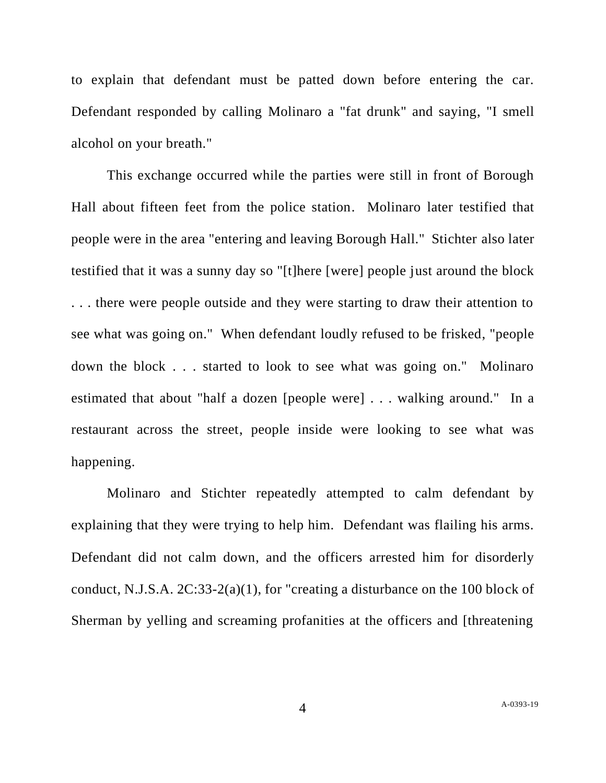to explain that defendant must be patted down before entering the car. Defendant responded by calling Molinaro a "fat drunk" and saying, "I smell alcohol on your breath."

This exchange occurred while the parties were still in front of Borough Hall about fifteen feet from the police station. Molinaro later testified that people were in the area "entering and leaving Borough Hall." Stichter also later testified that it was a sunny day so "[t]here [were] people just around the block . . . there were people outside and they were starting to draw their attention to see what was going on." When defendant loudly refused to be frisked, "people down the block . . . started to look to see what was going on." Molinaro estimated that about "half a dozen [people were] . . . walking around." In a restaurant across the street, people inside were looking to see what was happening.

Molinaro and Stichter repeatedly attempted to calm defendant by explaining that they were trying to help him. Defendant was flailing his arms. Defendant did not calm down, and the officers arrested him for disorderly conduct, N.J.S.A. 2C:33-2(a)(1), for "creating a disturbance on the 100 block of Sherman by yelling and screaming profanities at the officers and [threatening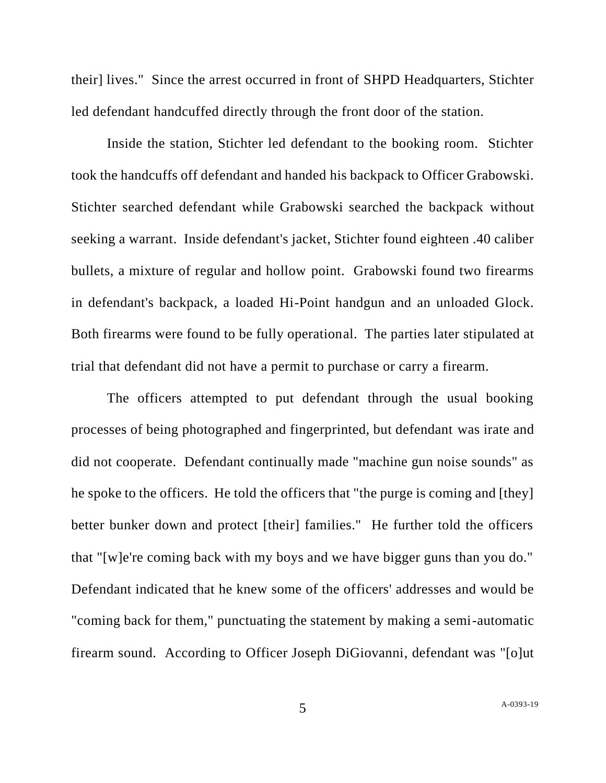their] lives." Since the arrest occurred in front of SHPD Headquarters, Stichter led defendant handcuffed directly through the front door of the station.

Inside the station, Stichter led defendant to the booking room. Stichter took the handcuffs off defendant and handed his backpack to Officer Grabowski. Stichter searched defendant while Grabowski searched the backpack without seeking a warrant. Inside defendant's jacket, Stichter found eighteen .40 caliber bullets, a mixture of regular and hollow point. Grabowski found two firearms in defendant's backpack, a loaded Hi-Point handgun and an unloaded Glock. Both firearms were found to be fully operational. The parties later stipulated at trial that defendant did not have a permit to purchase or carry a firearm.

The officers attempted to put defendant through the usual booking processes of being photographed and fingerprinted, but defendant was irate and did not cooperate. Defendant continually made "machine gun noise sounds" as he spoke to the officers. He told the officers that "the purge is coming and [they] better bunker down and protect [their] families." He further told the officers that "[w]e're coming back with my boys and we have bigger guns than you do." Defendant indicated that he knew some of the officers' addresses and would be "coming back for them," punctuating the statement by making a semi-automatic firearm sound. According to Officer Joseph DiGiovanni, defendant was "[o]ut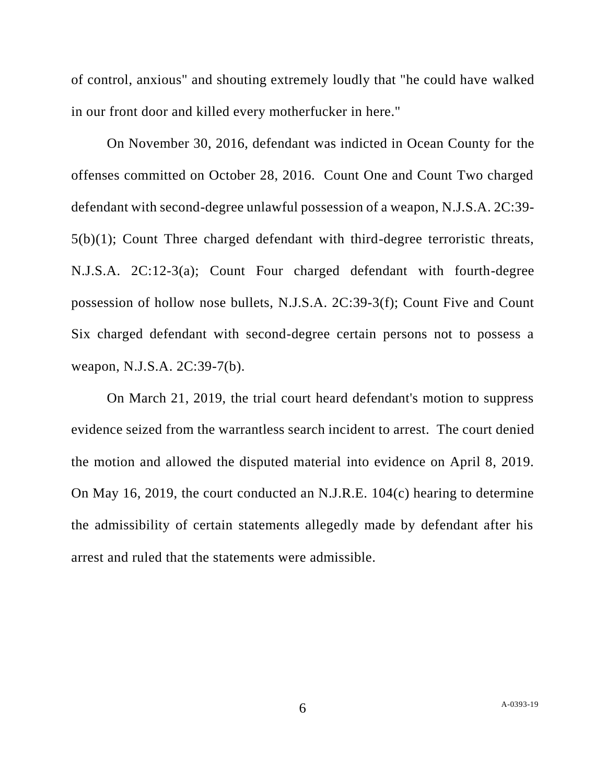of control, anxious" and shouting extremely loudly that "he could have walked in our front door and killed every motherfucker in here."

On November 30, 2016, defendant was indicted in Ocean County for the offenses committed on October 28, 2016. Count One and Count Two charged defendant with second-degree unlawful possession of a weapon, N.J.S.A. 2C:39- 5(b)(1); Count Three charged defendant with third-degree terroristic threats, N.J.S.A. 2C:12-3(a); Count Four charged defendant with fourth-degree possession of hollow nose bullets, N.J.S.A. 2C:39-3(f); Count Five and Count Six charged defendant with second-degree certain persons not to possess a weapon, N.J.S.A. 2C:39-7(b).

On March 21, 2019, the trial court heard defendant's motion to suppress evidence seized from the warrantless search incident to arrest. The court denied the motion and allowed the disputed material into evidence on April 8, 2019. On May 16, 2019, the court conducted an N.J.R.E. 104(c) hearing to determine the admissibility of certain statements allegedly made by defendant after his arrest and ruled that the statements were admissible.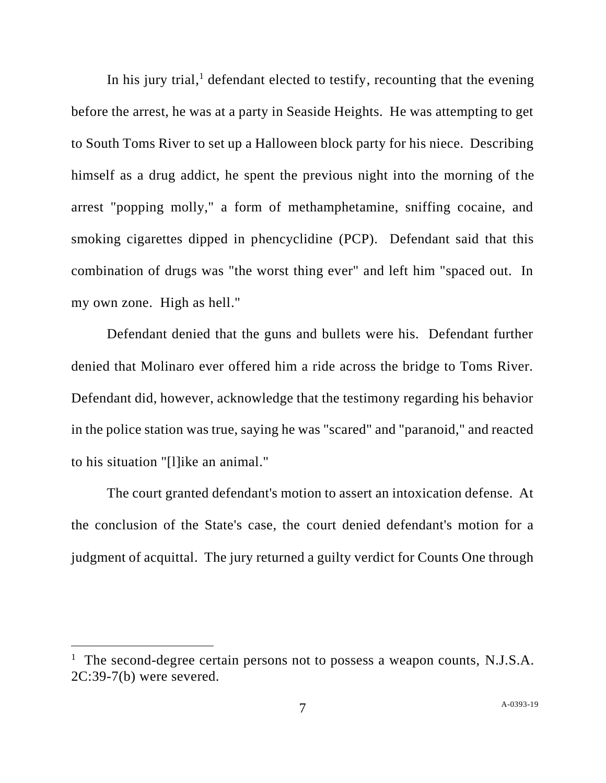In his jury trial,<sup>1</sup> defendant elected to testify, recounting that the evening before the arrest, he was at a party in Seaside Heights. He was attempting to get to South Toms River to set up a Halloween block party for his niece. Describing himself as a drug addict, he spent the previous night into the morning of the arrest "popping molly," a form of methamphetamine, sniffing cocaine, and smoking cigarettes dipped in phencyclidine (PCP). Defendant said that this combination of drugs was "the worst thing ever" and left him "spaced out. In my own zone. High as hell."

Defendant denied that the guns and bullets were his. Defendant further denied that Molinaro ever offered him a ride across the bridge to Toms River. Defendant did, however, acknowledge that the testimony regarding his behavior in the police station was true, saying he was "scared" and "paranoid," and reacted to his situation "[l]ike an animal."

The court granted defendant's motion to assert an intoxication defense. At the conclusion of the State's case, the court denied defendant's motion for a judgment of acquittal. The jury returned a guilty verdict for Counts One through

<sup>&</sup>lt;sup>1</sup> The second-degree certain persons not to possess a weapon counts, N.J.S.A. 2C:39-7(b) were severed.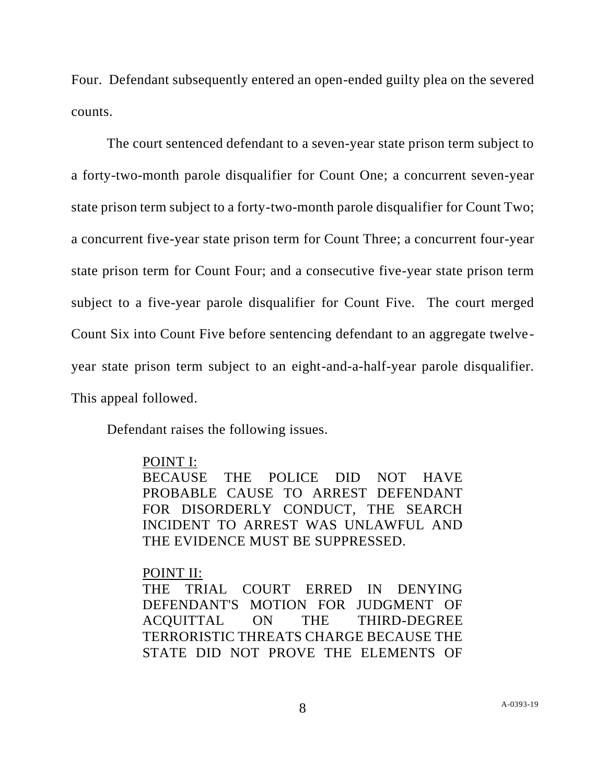Four. Defendant subsequently entered an open-ended guilty plea on the severed counts.

The court sentenced defendant to a seven-year state prison term subject to a forty-two-month parole disqualifier for Count One; a concurrent seven-year state prison term subject to a forty-two-month parole disqualifier for Count Two; a concurrent five-year state prison term for Count Three; a concurrent four-year state prison term for Count Four; and a consecutive five-year state prison term subject to a five-year parole disqualifier for Count Five. The court merged Count Six into Count Five before sentencing defendant to an aggregate twelveyear state prison term subject to an eight-and-a-half-year parole disqualifier. This appeal followed.

Defendant raises the following issues.

### POINT I:

BECAUSE THE POLICE DID NOT HAVE PROBABLE CAUSE TO ARREST DEFENDANT FOR DISORDERLY CONDUCT, THE SEARCH INCIDENT TO ARREST WAS UNLAWFUL AND THE EVIDENCE MUST BE SUPPRESSED.

### POINT II:

THE TRIAL COURT ERRED IN DENYING DEFENDANT'S MOTION FOR JUDGMENT OF ACQUITTAL ON THE THIRD-DEGREE TERRORISTIC THREATS CHARGE BECAUSE THE STATE DID NOT PROVE THE ELEMENTS OF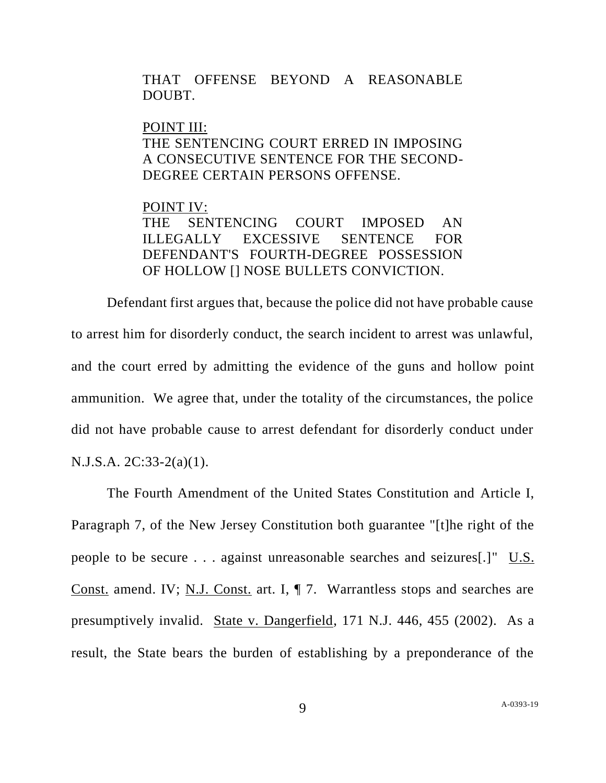THAT OFFENSE BEYOND A REASONABLE DOUBT.

#### POINT III:

## THE SENTENCING COURT ERRED IN IMPOSING A CONSECUTIVE SENTENCE FOR THE SECOND-DEGREE CERTAIN PERSONS OFFENSE.

# POINT IV:

THE SENTENCING COURT IMPOSED AN ILLEGALLY EXCESSIVE SENTENCE FOR DEFENDANT'S FOURTH-DEGREE POSSESSION OF HOLLOW [] NOSE BULLETS CONVICTION.

Defendant first argues that, because the police did not have probable cause to arrest him for disorderly conduct, the search incident to arrest was unlawful, and the court erred by admitting the evidence of the guns and hollow point ammunition. We agree that, under the totality of the circumstances, the police did not have probable cause to arrest defendant for disorderly conduct under N.J.S.A. 2C:33-2(a)(1).

The Fourth Amendment of the United States Constitution and Article I, Paragraph 7, of the New Jersey Constitution both guarantee "[t]he right of the people to be secure . . . against unreasonable searches and seizures[.]" U.S. Const. amend. IV; N.J. Const. art. I, ¶ 7. Warrantless stops and searches are presumptively invalid. State v. Dangerfield, 171 N.J. 446, 455 (2002). As a result, the State bears the burden of establishing by a preponderance of the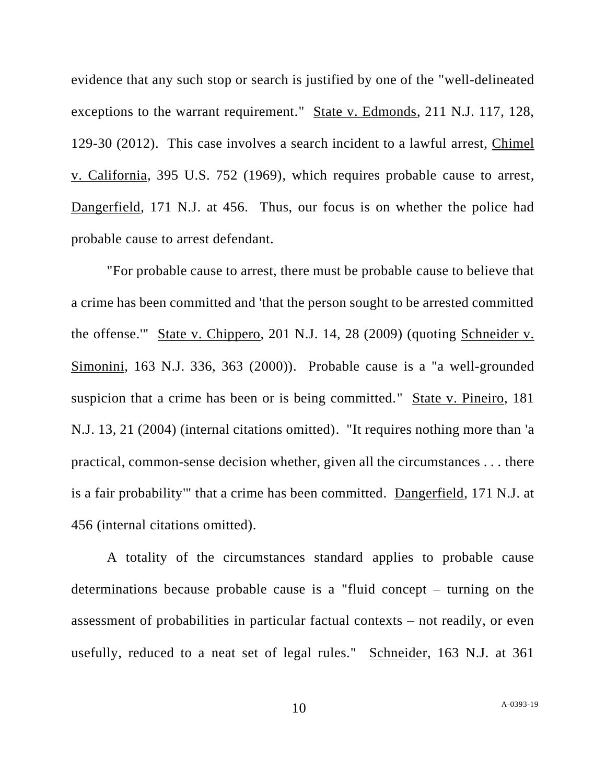evidence that any such stop or search is justified by one of the "well-delineated exceptions to the warrant requirement." State v. Edmonds, 211 N.J. 117, 128, 129-30 (2012). This case involves a search incident to a lawful arrest, Chimel v. California, 395 U.S. 752 (1969), which requires probable cause to arrest, Dangerfield, 171 N.J. at 456. Thus, our focus is on whether the police had probable cause to arrest defendant.

"For probable cause to arrest, there must be probable cause to believe that a crime has been committed and 'that the person sought to be arrested committed the offense.'" State v. Chippero, 201 N.J. 14, 28 (2009) (quoting Schneider v. Simonini, 163 N.J. 336, 363 (2000)). Probable cause is a "a well-grounded suspicion that a crime has been or is being committed." State v. Pineiro, 181 N.J. 13, 21 (2004) (internal citations omitted). "It requires nothing more than 'a practical, common-sense decision whether, given all the circumstances . . . there is a fair probability'" that a crime has been committed. Dangerfield, 171 N.J. at 456 (internal citations omitted).

A totality of the circumstances standard applies to probable cause determinations because probable cause is a "fluid concept – turning on the assessment of probabilities in particular factual contexts – not readily, or even usefully, reduced to a neat set of legal rules." Schneider, 163 N.J. at 361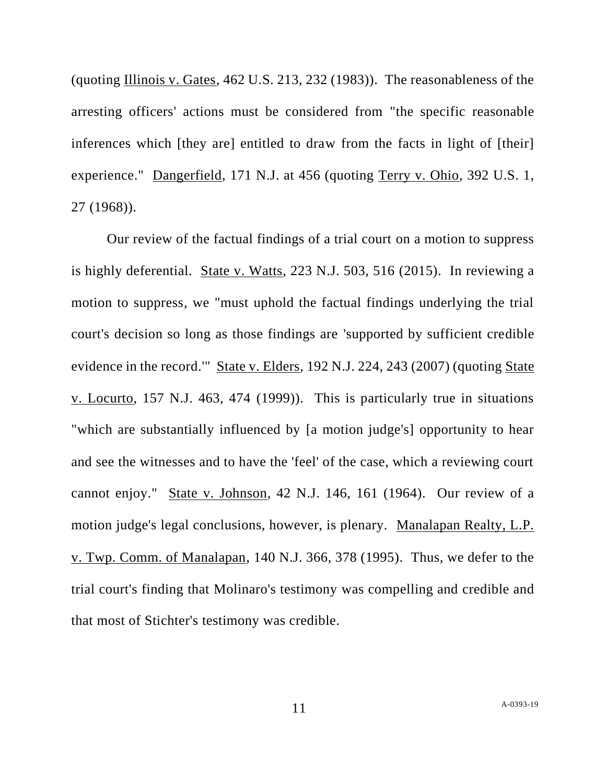(quoting Illinois v. Gates, 462 U.S. 213, 232 (1983)). The reasonableness of the arresting officers' actions must be considered from "the specific reasonable inferences which [they are] entitled to draw from the facts in light of [their] experience." Dangerfield, 171 N.J. at 456 (quoting Terry v. Ohio, 392 U.S. 1, 27 (1968)).

Our review of the factual findings of a trial court on a motion to suppress is highly deferential. State v. Watts, 223 N.J. 503, 516 (2015). In reviewing a motion to suppress, we "must uphold the factual findings underlying the trial court's decision so long as those findings are 'supported by sufficient credible evidence in the record.'" State v. Elders, 192 N.J. 224, 243 (2007) (quoting State v. Locurto, 157 N.J. 463, 474 (1999)). This is particularly true in situations "which are substantially influenced by [a motion judge's] opportunity to hear and see the witnesses and to have the 'feel' of the case, which a reviewing court cannot enjoy." State v. Johnson, 42 N.J. 146, 161 (1964). Our review of a motion judge's legal conclusions, however, is plenary. Manalapan Realty, L.P. v. Twp. Comm. of Manalapan, 140 N.J. 366, 378 (1995). Thus, we defer to the trial court's finding that Molinaro's testimony was compelling and credible and that most of Stichter's testimony was credible.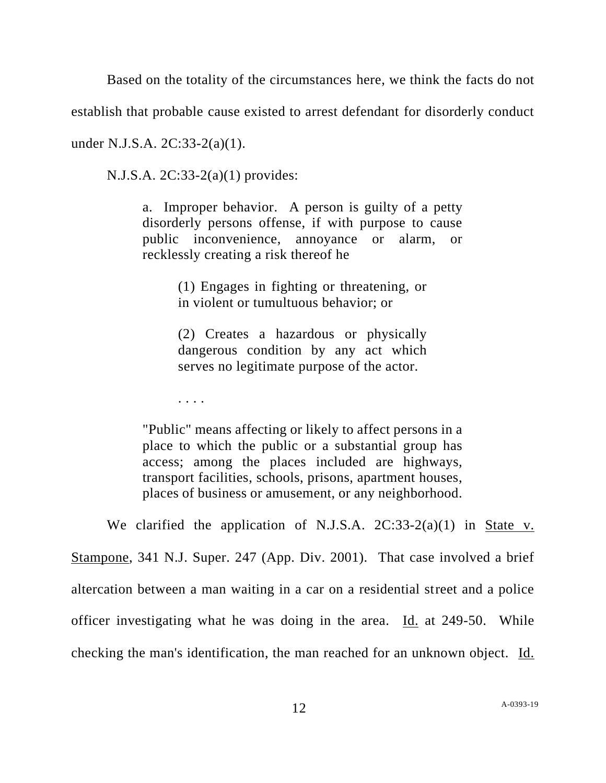Based on the totality of the circumstances here, we think the facts do not

establish that probable cause existed to arrest defendant for disorderly conduct

under N.J.S.A. 2C:33-2(a)(1).

N.J.S.A. 2C:33-2(a)(1) provides:

a. Improper behavior. A person is guilty of a petty disorderly persons offense, if with purpose to cause public inconvenience, annoyance or alarm, or recklessly creating a risk thereof he

> (1) Engages in fighting or threatening, or in violent or tumultuous behavior; or

> (2) Creates a hazardous or physically dangerous condition by any act which serves no legitimate purpose of the actor.

. . . .

"Public" means affecting or likely to affect persons in a place to which the public or a substantial group has access; among the places included are highways, transport facilities, schools, prisons, apartment houses, places of business or amusement, or any neighborhood.

We clarified the application of N.J.S.A.  $2C:33-2(a)(1)$  in State v. Stampone, 341 N.J. Super. 247 (App. Div. 2001). That case involved a brief altercation between a man waiting in a car on a residential street and a police officer investigating what he was doing in the area. Id. at 249-50. While checking the man's identification, the man reached for an unknown object. Id.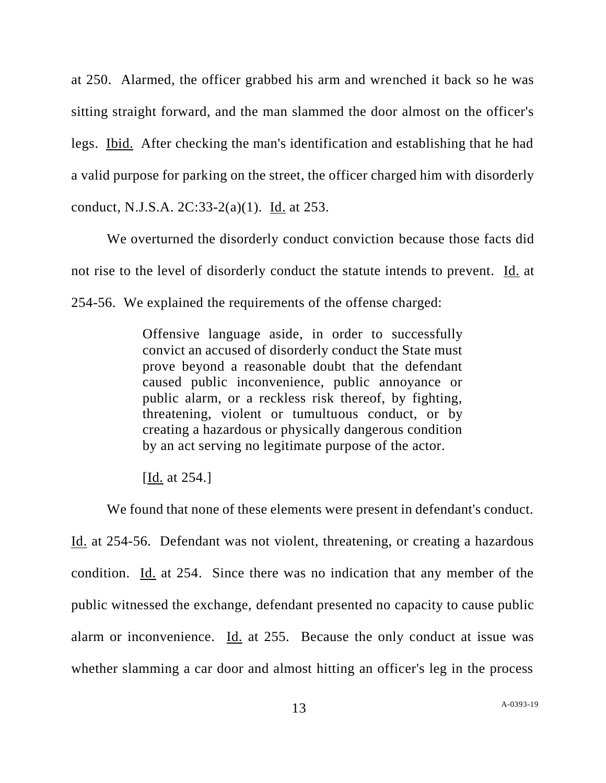at 250. Alarmed, the officer grabbed his arm and wrenched it back so he was sitting straight forward, and the man slammed the door almost on the officer's legs. Ibid. After checking the man's identification and establishing that he had a valid purpose for parking on the street, the officer charged him with disorderly conduct, N.J.S.A. 2C:33-2(a)(1). Id. at 253.

We overturned the disorderly conduct conviction because those facts did not rise to the level of disorderly conduct the statute intends to prevent. Id. at 254-56. We explained the requirements of the offense charged:

> Offensive language aside, in order to successfully convict an accused of disorderly conduct the State must prove beyond a reasonable doubt that the defendant caused public inconvenience, public annoyance or public alarm, or a reckless risk thereof, by fighting, threatening, violent or tumultuous conduct, or by creating a hazardous or physically dangerous condition by an act serving no legitimate purpose of the actor.

[Id. at 254.]

We found that none of these elements were present in defendant's conduct. Id. at 254-56. Defendant was not violent, threatening, or creating a hazardous condition. Id. at 254. Since there was no indication that any member of the public witnessed the exchange, defendant presented no capacity to cause public alarm or inconvenience. Id. at 255. Because the only conduct at issue was whether slamming a car door and almost hitting an officer's leg in the process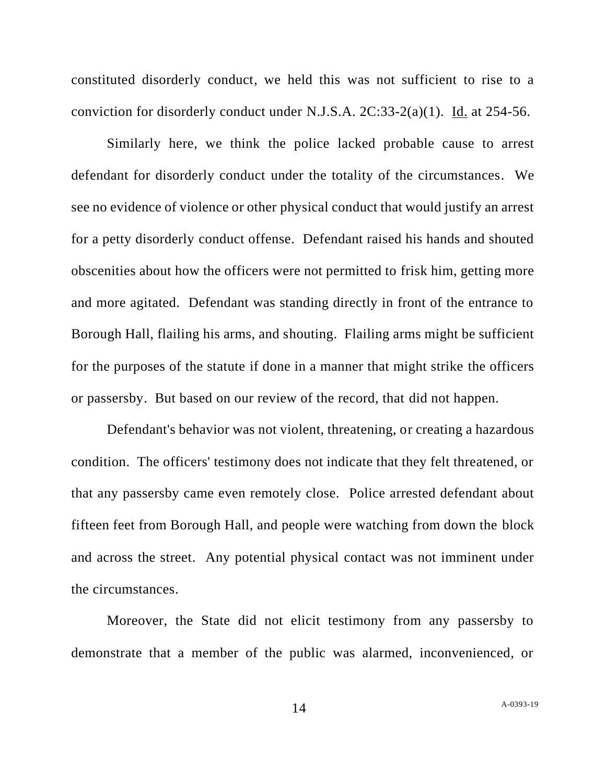constituted disorderly conduct, we held this was not sufficient to rise to a conviction for disorderly conduct under N.J.S.A. 2C:33-2(a)(1). Id. at 254-56.

Similarly here, we think the police lacked probable cause to arrest defendant for disorderly conduct under the totality of the circumstances. We see no evidence of violence or other physical conduct that would justify an arrest for a petty disorderly conduct offense. Defendant raised his hands and shouted obscenities about how the officers were not permitted to frisk him, getting more and more agitated. Defendant was standing directly in front of the entrance to Borough Hall, flailing his arms, and shouting. Flailing arms might be sufficient for the purposes of the statute if done in a manner that might strike the officers or passersby. But based on our review of the record, that did not happen.

Defendant's behavior was not violent, threatening, or creating a hazardous condition. The officers' testimony does not indicate that they felt threatened, or that any passersby came even remotely close. Police arrested defendant about fifteen feet from Borough Hall, and people were watching from down the block and across the street. Any potential physical contact was not imminent under the circumstances.

Moreover, the State did not elicit testimony from any passersby to demonstrate that a member of the public was alarmed, inconvenienced, or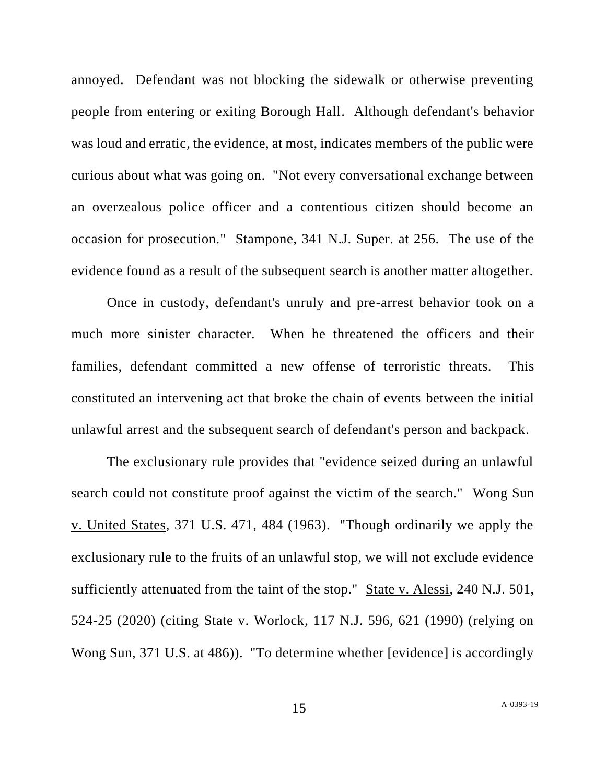annoyed. Defendant was not blocking the sidewalk or otherwise preventing people from entering or exiting Borough Hall. Although defendant's behavior was loud and erratic, the evidence, at most, indicates members of the public were curious about what was going on. "Not every conversational exchange between an overzealous police officer and a contentious citizen should become an occasion for prosecution." Stampone, 341 N.J. Super. at 256. The use of the evidence found as a result of the subsequent search is another matter altogether.

Once in custody, defendant's unruly and pre-arrest behavior took on a much more sinister character. When he threatened the officers and their families, defendant committed a new offense of terroristic threats. This constituted an intervening act that broke the chain of events between the initial unlawful arrest and the subsequent search of defendant's person and backpack.

The exclusionary rule provides that "evidence seized during an unlawful search could not constitute proof against the victim of the search." Wong Sun v. United States, 371 U.S. 471, 484 (1963). "Though ordinarily we apply the exclusionary rule to the fruits of an unlawful stop, we will not exclude evidence sufficiently attenuated from the taint of the stop." State v. Alessi, 240 N.J. 501, 524-25 (2020) (citing State v. Worlock, 117 N.J. 596, 621 (1990) (relying on Wong Sun, 371 U.S. at 486)). "To determine whether [evidence] is accordingly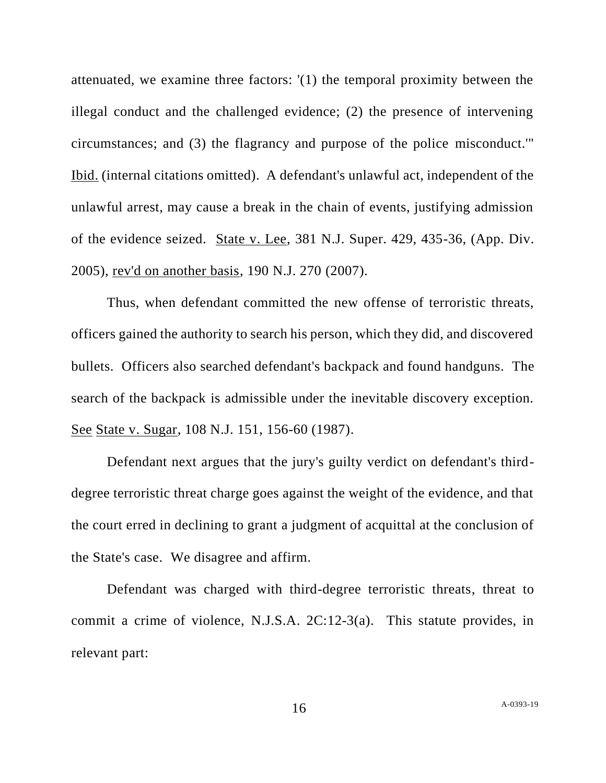attenuated, we examine three factors: '(1) the temporal proximity between the illegal conduct and the challenged evidence; (2) the presence of intervening circumstances; and (3) the flagrancy and purpose of the police misconduct.'" Ibid. (internal citations omitted). A defendant's unlawful act, independent of the unlawful arrest, may cause a break in the chain of events, justifying admission of the evidence seized. State v. Lee, 381 N.J. Super. 429, 435-36, (App. Div. 2005), rev'd on another basis, 190 N.J. 270 (2007).

Thus, when defendant committed the new offense of terroristic threats, officers gained the authority to search his person, which they did, and discovered bullets. Officers also searched defendant's backpack and found handguns. The search of the backpack is admissible under the inevitable discovery exception. See State v. Sugar, 108 N.J. 151, 156-60 (1987).

Defendant next argues that the jury's guilty verdict on defendant's thirddegree terroristic threat charge goes against the weight of the evidence, and that the court erred in declining to grant a judgment of acquittal at the conclusion of the State's case. We disagree and affirm.

Defendant was charged with third-degree terroristic threats, threat to commit a crime of violence, N.J.S.A. 2C:12-3(a). This statute provides, in relevant part: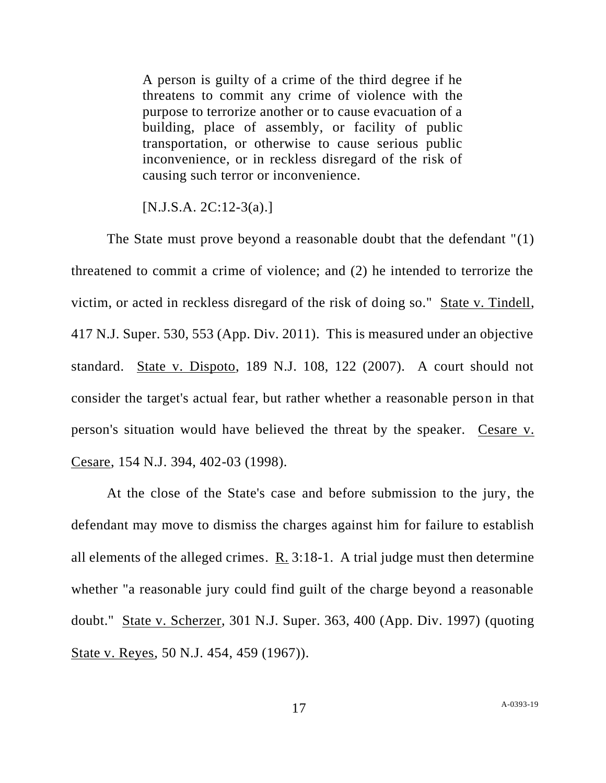A person is guilty of a crime of the third degree if he threatens to commit any crime of violence with the purpose to terrorize another or to cause evacuation of a building, place of assembly, or facility of public transportation, or otherwise to cause serious public inconvenience, or in reckless disregard of the risk of causing such terror or inconvenience.

[N.J.S.A. 2C:12-3(a).]

The State must prove beyond a reasonable doubt that the defendant "(1) threatened to commit a crime of violence; and (2) he intended to terrorize the victim, or acted in reckless disregard of the risk of doing so." State v. Tindell, 417 N.J. Super. 530, 553 (App. Div. 2011). This is measured under an objective standard. State v. Dispoto, 189 N.J. 108, 122 (2007). A court should not consider the target's actual fear, but rather whether a reasonable person in that person's situation would have believed the threat by the speaker. Cesare v. Cesare, 154 N.J. 394, 402-03 (1998).

At the close of the State's case and before submission to the jury, the defendant may move to dismiss the charges against him for failure to establish all elements of the alleged crimes.  $R_1$ . 3:18-1. A trial judge must then determine whether "a reasonable jury could find guilt of the charge beyond a reasonable doubt." State v. Scherzer, 301 N.J. Super. 363, 400 (App. Div. 1997) (quoting State v. Reyes, 50 N.J. 454, 459 (1967)).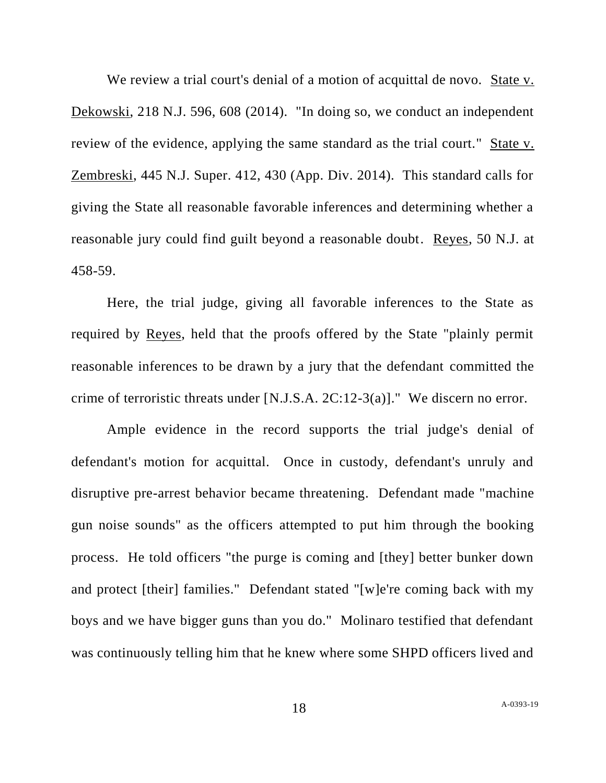We review a trial court's denial of a motion of acquittal de novo. State v. Dekowski, 218 N.J. 596, 608 (2014). "In doing so, we conduct an independent review of the evidence, applying the same standard as the trial court." State v. Zembreski, 445 N.J. Super. 412, 430 (App. Div. 2014). This standard calls for giving the State all reasonable favorable inferences and determining whether a reasonable jury could find guilt beyond a reasonable doubt. Reyes, 50 N.J. at 458-59.

Here, the trial judge, giving all favorable inferences to the State as required by Reyes, held that the proofs offered by the State "plainly permit reasonable inferences to be drawn by a jury that the defendant committed the crime of terroristic threats under [N.J.S.A. 2C:12-3(a)]." We discern no error.

Ample evidence in the record supports the trial judge's denial of defendant's motion for acquittal. Once in custody, defendant's unruly and disruptive pre-arrest behavior became threatening. Defendant made "machine gun noise sounds" as the officers attempted to put him through the booking process. He told officers "the purge is coming and [they] better bunker down and protect [their] families." Defendant stated "[w]e're coming back with my boys and we have bigger guns than you do." Molinaro testified that defendant was continuously telling him that he knew where some SHPD officers lived and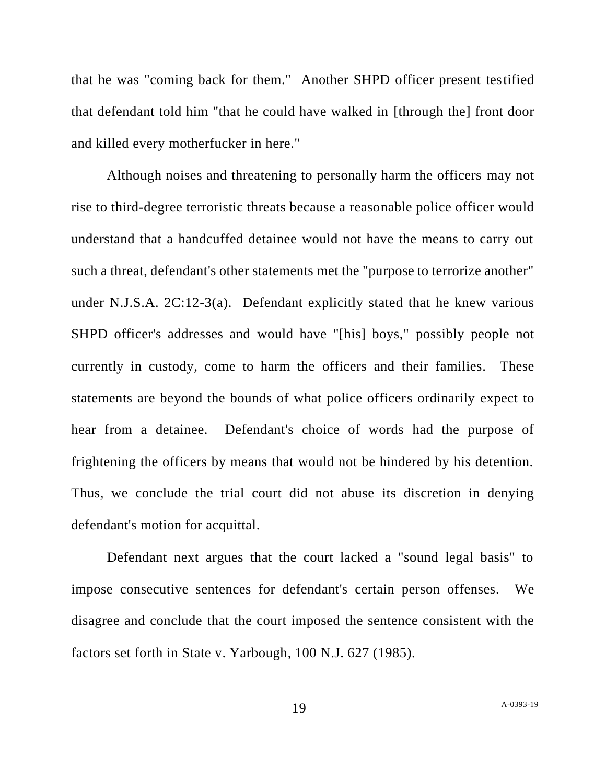that he was "coming back for them." Another SHPD officer present testified that defendant told him "that he could have walked in [through the] front door and killed every motherfucker in here."

Although noises and threatening to personally harm the officers may not rise to third-degree terroristic threats because a reasonable police officer would understand that a handcuffed detainee would not have the means to carry out such a threat, defendant's other statements met the "purpose to terrorize another" under N.J.S.A. 2C:12-3(a). Defendant explicitly stated that he knew various SHPD officer's addresses and would have "[his] boys," possibly people not currently in custody, come to harm the officers and their families. These statements are beyond the bounds of what police officers ordinarily expect to hear from a detainee. Defendant's choice of words had the purpose of frightening the officers by means that would not be hindered by his detention. Thus, we conclude the trial court did not abuse its discretion in denying defendant's motion for acquittal.

Defendant next argues that the court lacked a "sound legal basis" to impose consecutive sentences for defendant's certain person offenses. We disagree and conclude that the court imposed the sentence consistent with the factors set forth in State v. Yarbough, 100 N.J. 627 (1985).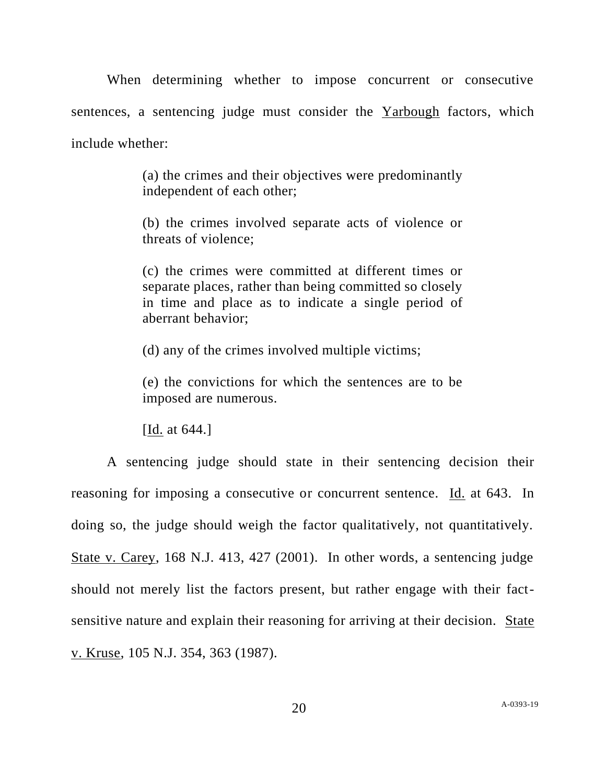When determining whether to impose concurrent or consecutive sentences, a sentencing judge must consider the Yarbough factors, which include whether:

> (a) the crimes and their objectives were predominantly independent of each other;

> (b) the crimes involved separate acts of violence or threats of violence;

> (c) the crimes were committed at different times or separate places, rather than being committed so closely in time and place as to indicate a single period of aberrant behavior;

(d) any of the crimes involved multiple victims;

(e) the convictions for which the sentences are to be imposed are numerous.

[Id. at 644.]

A sentencing judge should state in their sentencing decision their reasoning for imposing a consecutive or concurrent sentence. Id. at 643. In doing so, the judge should weigh the factor qualitatively, not quantitatively. State v. Carey, 168 N.J. 413, 427 (2001). In other words, a sentencing judge should not merely list the factors present, but rather engage with their factsensitive nature and explain their reasoning for arriving at their decision. State v. Kruse, 105 N.J. 354, 363 (1987).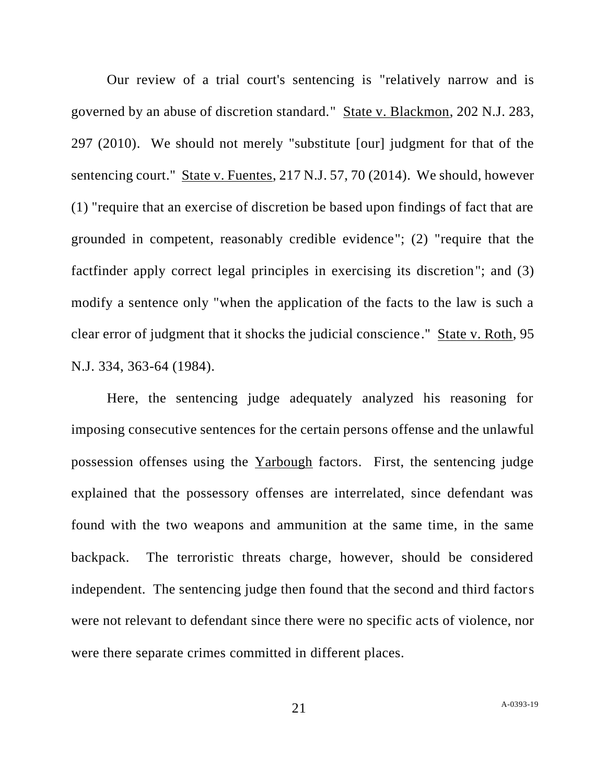Our review of a trial court's sentencing is "relatively narrow and is governed by an abuse of discretion standard." State v. Blackmon, 202 N.J. 283, 297 (2010). We should not merely "substitute [our] judgment for that of the sentencing court." State v. Fuentes, 217 N.J. 57, 70 (2014). We should, however (1) "require that an exercise of discretion be based upon findings of fact that are grounded in competent, reasonably credible evidence"; (2) "require that the factfinder apply correct legal principles in exercising its discretion"; and (3) modify a sentence only "when the application of the facts to the law is such a clear error of judgment that it shocks the judicial conscience." State v. Roth, 95 N.J. 334, 363-64 (1984).

Here, the sentencing judge adequately analyzed his reasoning for imposing consecutive sentences for the certain persons offense and the unlawful possession offenses using the Yarbough factors. First, the sentencing judge explained that the possessory offenses are interrelated, since defendant was found with the two weapons and ammunition at the same time, in the same backpack. The terroristic threats charge, however, should be considered independent. The sentencing judge then found that the second and third factors were not relevant to defendant since there were no specific acts of violence, nor were there separate crimes committed in different places.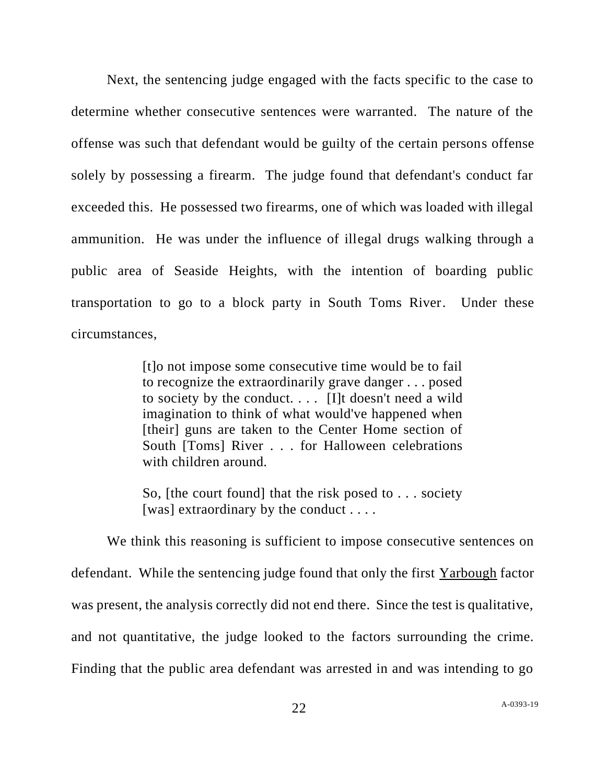Next, the sentencing judge engaged with the facts specific to the case to determine whether consecutive sentences were warranted. The nature of the offense was such that defendant would be guilty of the certain persons offense solely by possessing a firearm. The judge found that defendant's conduct far exceeded this. He possessed two firearms, one of which was loaded with illegal ammunition. He was under the influence of illegal drugs walking through a public area of Seaside Heights, with the intention of boarding public transportation to go to a block party in South Toms River. Under these circumstances,

> [t]o not impose some consecutive time would be to fail to recognize the extraordinarily grave danger . . . posed to society by the conduct.  $\ldots$  [I]t doesn't need a wild imagination to think of what would've happened when [their] guns are taken to the Center Home section of South [Toms] River . . . for Halloween celebrations with children around.

> So, [the court found] that the risk posed to . . . society [was] extraordinary by the conduct  $\dots$ .

We think this reasoning is sufficient to impose consecutive sentences on defendant. While the sentencing judge found that only the first Yarbough factor was present, the analysis correctly did not end there. Since the test is qualitative, and not quantitative, the judge looked to the factors surrounding the crime. Finding that the public area defendant was arrested in and was intending to go